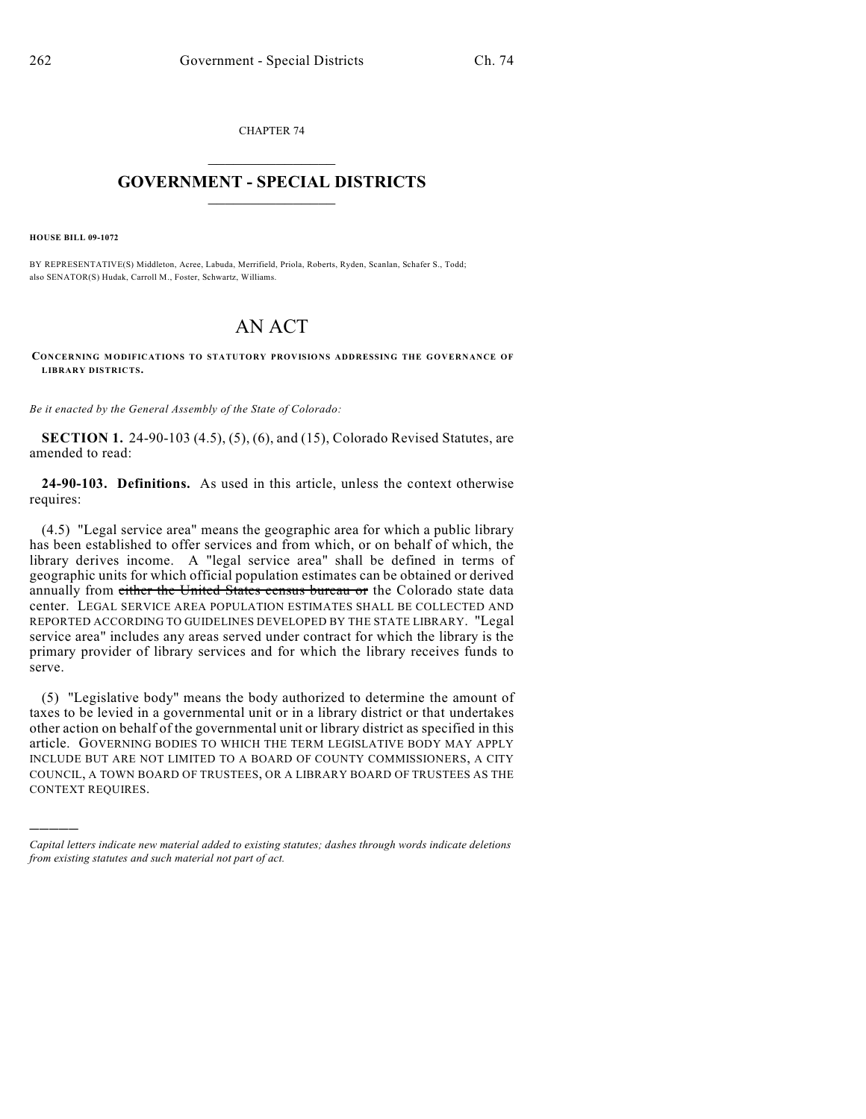CHAPTER 74  $\overline{\phantom{a}}$  . The set of the set of the set of the set of the set of the set of the set of the set of the set of the set of the set of the set of the set of the set of the set of the set of the set of the set of the set o

## **GOVERNMENT - SPECIAL DISTRICTS**  $\_$   $\_$

**HOUSE BILL 09-1072**

)))))

BY REPRESENTATIVE(S) Middleton, Acree, Labuda, Merrifield, Priola, Roberts, Ryden, Scanlan, Schafer S., Todd; also SENATOR(S) Hudak, Carroll M., Foster, Schwartz, Williams.

## AN ACT

**CONCERNING MODIFICATIONS TO STATUTORY PROVISIONS ADDRESSING THE GOVERNANCE OF LIBRARY DISTRICTS.**

*Be it enacted by the General Assembly of the State of Colorado:*

**SECTION 1.** 24-90-103 (4.5), (5), (6), and (15), Colorado Revised Statutes, are amended to read:

**24-90-103. Definitions.** As used in this article, unless the context otherwise requires:

(4.5) "Legal service area" means the geographic area for which a public library has been established to offer services and from which, or on behalf of which, the library derives income. A "legal service area" shall be defined in terms of geographic units for which official population estimates can be obtained or derived annually from either the United States census bureau or the Colorado state data center. LEGAL SERVICE AREA POPULATION ESTIMATES SHALL BE COLLECTED AND REPORTED ACCORDING TO GUIDELINES DEVELOPED BY THE STATE LIBRARY. "Legal service area" includes any areas served under contract for which the library is the primary provider of library services and for which the library receives funds to serve.

(5) "Legislative body" means the body authorized to determine the amount of taxes to be levied in a governmental unit or in a library district or that undertakes other action on behalf of the governmental unit or library district as specified in this article. GOVERNING BODIES TO WHICH THE TERM LEGISLATIVE BODY MAY APPLY INCLUDE BUT ARE NOT LIMITED TO A BOARD OF COUNTY COMMISSIONERS, A CITY COUNCIL, A TOWN BOARD OF TRUSTEES, OR A LIBRARY BOARD OF TRUSTEES AS THE CONTEXT REQUIRES.

*Capital letters indicate new material added to existing statutes; dashes through words indicate deletions from existing statutes and such material not part of act.*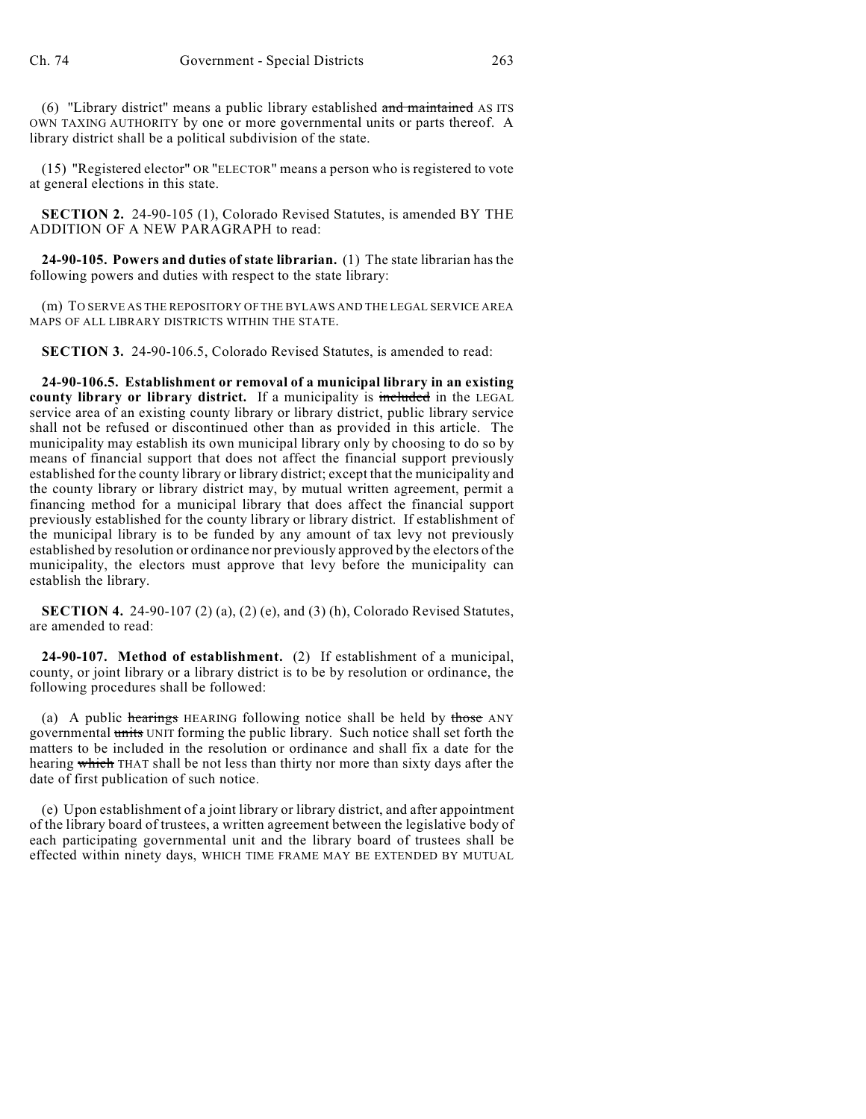(6) "Library district" means a public library established and maintained AS ITS OWN TAXING AUTHORITY by one or more governmental units or parts thereof. A library district shall be a political subdivision of the state.

(15) "Registered elector" OR "ELECTOR" means a person who is registered to vote at general elections in this state.

**SECTION 2.** 24-90-105 (1), Colorado Revised Statutes, is amended BY THE ADDITION OF A NEW PARAGRAPH to read:

**24-90-105. Powers and duties of state librarian.** (1) The state librarian has the following powers and duties with respect to the state library:

(m) TO SERVE AS THE REPOSITORY OF THE BYLAWS AND THE LEGAL SERVICE AREA MAPS OF ALL LIBRARY DISTRICTS WITHIN THE STATE.

**SECTION 3.** 24-90-106.5, Colorado Revised Statutes, is amended to read:

**24-90-106.5. Establishment or removal of a municipal library in an existing** county library or library district. If a municipality is included in the LEGAL service area of an existing county library or library district, public library service shall not be refused or discontinued other than as provided in this article. The municipality may establish its own municipal library only by choosing to do so by means of financial support that does not affect the financial support previously established for the county library or library district; except that the municipality and the county library or library district may, by mutual written agreement, permit a financing method for a municipal library that does affect the financial support previously established for the county library or library district. If establishment of the municipal library is to be funded by any amount of tax levy not previously established by resolution or ordinance nor previously approved by the electors of the municipality, the electors must approve that levy before the municipality can establish the library.

**SECTION 4.** 24-90-107 (2) (a), (2) (e), and (3) (h), Colorado Revised Statutes, are amended to read:

**24-90-107. Method of establishment.** (2) If establishment of a municipal, county, or joint library or a library district is to be by resolution or ordinance, the following procedures shall be followed:

(a) A public hearings HEARING following notice shall be held by those ANY governmental units UNIT forming the public library. Such notice shall set forth the matters to be included in the resolution or ordinance and shall fix a date for the hearing which THAT shall be not less than thirty nor more than sixty days after the date of first publication of such notice.

(e) Upon establishment of a joint library or library district, and after appointment of the library board of trustees, a written agreement between the legislative body of each participating governmental unit and the library board of trustees shall be effected within ninety days, WHICH TIME FRAME MAY BE EXTENDED BY MUTUAL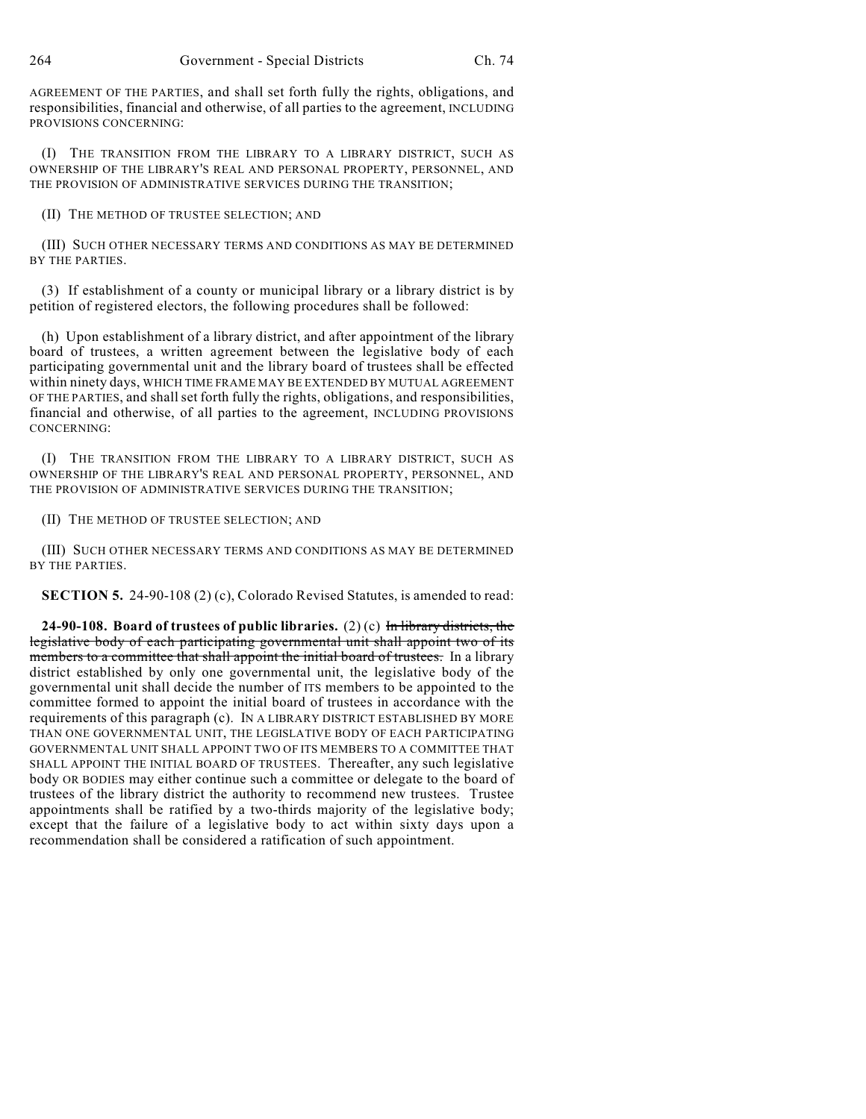AGREEMENT OF THE PARTIES, and shall set forth fully the rights, obligations, and responsibilities, financial and otherwise, of all parties to the agreement, INCLUDING PROVISIONS CONCERNING:

(I) THE TRANSITION FROM THE LIBRARY TO A LIBRARY DISTRICT, SUCH AS OWNERSHIP OF THE LIBRARY'S REAL AND PERSONAL PROPERTY, PERSONNEL, AND THE PROVISION OF ADMINISTRATIVE SERVICES DURING THE TRANSITION;

(II) THE METHOD OF TRUSTEE SELECTION; AND

(III) SUCH OTHER NECESSARY TERMS AND CONDITIONS AS MAY BE DETERMINED BY THE PARTIES.

(3) If establishment of a county or municipal library or a library district is by petition of registered electors, the following procedures shall be followed:

(h) Upon establishment of a library district, and after appointment of the library board of trustees, a written agreement between the legislative body of each participating governmental unit and the library board of trustees shall be effected within ninety days, WHICH TIME FRAME MAY BE EXTENDED BY MUTUAL AGREEMENT OF THE PARTIES, and shall set forth fully the rights, obligations, and responsibilities, financial and otherwise, of all parties to the agreement, INCLUDING PROVISIONS CONCERNING:

(I) THE TRANSITION FROM THE LIBRARY TO A LIBRARY DISTRICT, SUCH AS OWNERSHIP OF THE LIBRARY'S REAL AND PERSONAL PROPERTY, PERSONNEL, AND THE PROVISION OF ADMINISTRATIVE SERVICES DURING THE TRANSITION;

(II) THE METHOD OF TRUSTEE SELECTION; AND

(III) SUCH OTHER NECESSARY TERMS AND CONDITIONS AS MAY BE DETERMINED BY THE PARTIES.

**SECTION 5.** 24-90-108 (2) (c), Colorado Revised Statutes, is amended to read:

**24-90-108. Board of trustees of public libraries.** (2) (c) In library districts, the legislative body of each participating governmental unit shall appoint two of its members to a committee that shall appoint the initial board of trustees. In a library district established by only one governmental unit, the legislative body of the governmental unit shall decide the number of ITS members to be appointed to the committee formed to appoint the initial board of trustees in accordance with the requirements of this paragraph (c). IN A LIBRARY DISTRICT ESTABLISHED BY MORE THAN ONE GOVERNMENTAL UNIT, THE LEGISLATIVE BODY OF EACH PARTICIPATING GOVERNMENTAL UNIT SHALL APPOINT TWO OF ITS MEMBERS TO A COMMITTEE THAT SHALL APPOINT THE INITIAL BOARD OF TRUSTEES. Thereafter, any such legislative body OR BODIES may either continue such a committee or delegate to the board of trustees of the library district the authority to recommend new trustees. Trustee appointments shall be ratified by a two-thirds majority of the legislative body; except that the failure of a legislative body to act within sixty days upon a recommendation shall be considered a ratification of such appointment.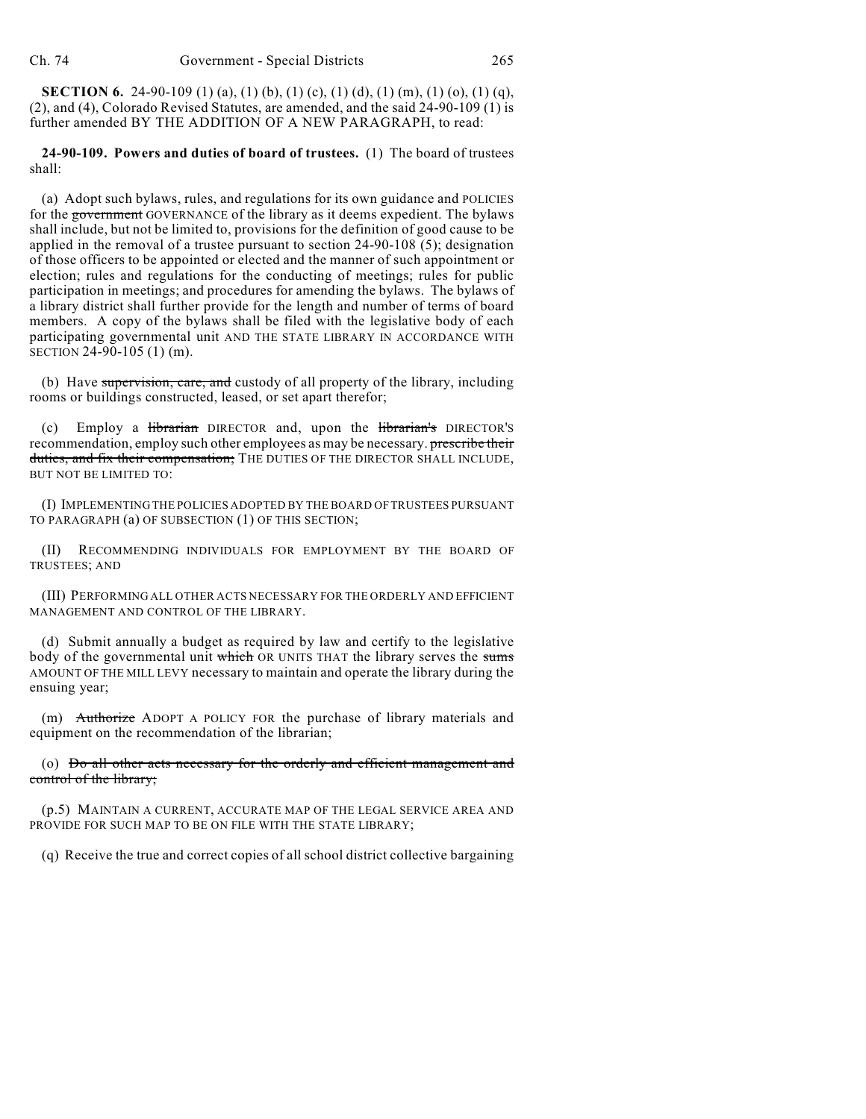**SECTION 6.** 24-90-109 (1) (a), (1) (b), (1) (c), (1) (d), (1) (m), (1) (o), (1) (q), (2), and (4), Colorado Revised Statutes, are amended, and the said 24-90-109 (1) is further amended BY THE ADDITION OF A NEW PARAGRAPH, to read:

**24-90-109. Powers and duties of board of trustees.** (1) The board of trustees shall:

(a) Adopt such bylaws, rules, and regulations for its own guidance and POLICIES for the government GOVERNANCE of the library as it deems expedient. The bylaws shall include, but not be limited to, provisions for the definition of good cause to be applied in the removal of a trustee pursuant to section 24-90-108 (5); designation of those officers to be appointed or elected and the manner of such appointment or election; rules and regulations for the conducting of meetings; rules for public participation in meetings; and procedures for amending the bylaws. The bylaws of a library district shall further provide for the length and number of terms of board members. A copy of the bylaws shall be filed with the legislative body of each participating governmental unit AND THE STATE LIBRARY IN ACCORDANCE WITH SECTION 24-90-105 (1) (m).

(b) Have supervision, care, and custody of all property of the library, including rooms or buildings constructed, leased, or set apart therefor;

Employ a *librarian* DIRECTOR and, upon the *librarian's* DIRECTOR'S recommendation, employ such other employees as may be necessary. **prescribe their** duties, and fix their compensation; THE DUTIES OF THE DIRECTOR SHALL INCLUDE, BUT NOT BE LIMITED TO:

(I) IMPLEMENTING THE POLICIES ADOPTED BY THE BOARD OF TRUSTEES PURSUANT TO PARAGRAPH (a) OF SUBSECTION (1) OF THIS SECTION;

(II) RECOMMENDING INDIVIDUALS FOR EMPLOYMENT BY THE BOARD OF TRUSTEES; AND

(III) PERFORMING ALL OTHER ACTS NECESSARY FOR THE ORDERLY AND EFFICIENT MANAGEMENT AND CONTROL OF THE LIBRARY.

(d) Submit annually a budget as required by law and certify to the legislative body of the governmental unit which OR UNITS THAT the library serves the sums AMOUNT OF THE MILL LEVY necessary to maintain and operate the library during the ensuing year;

(m) Authorize ADOPT A POLICY FOR the purchase of library materials and equipment on the recommendation of the librarian;

(o) Do all other acts necessary for the orderly and efficient management and control of the library;

(p.5) MAINTAIN A CURRENT, ACCURATE MAP OF THE LEGAL SERVICE AREA AND PROVIDE FOR SUCH MAP TO BE ON FILE WITH THE STATE LIBRARY;

(q) Receive the true and correct copies of all school district collective bargaining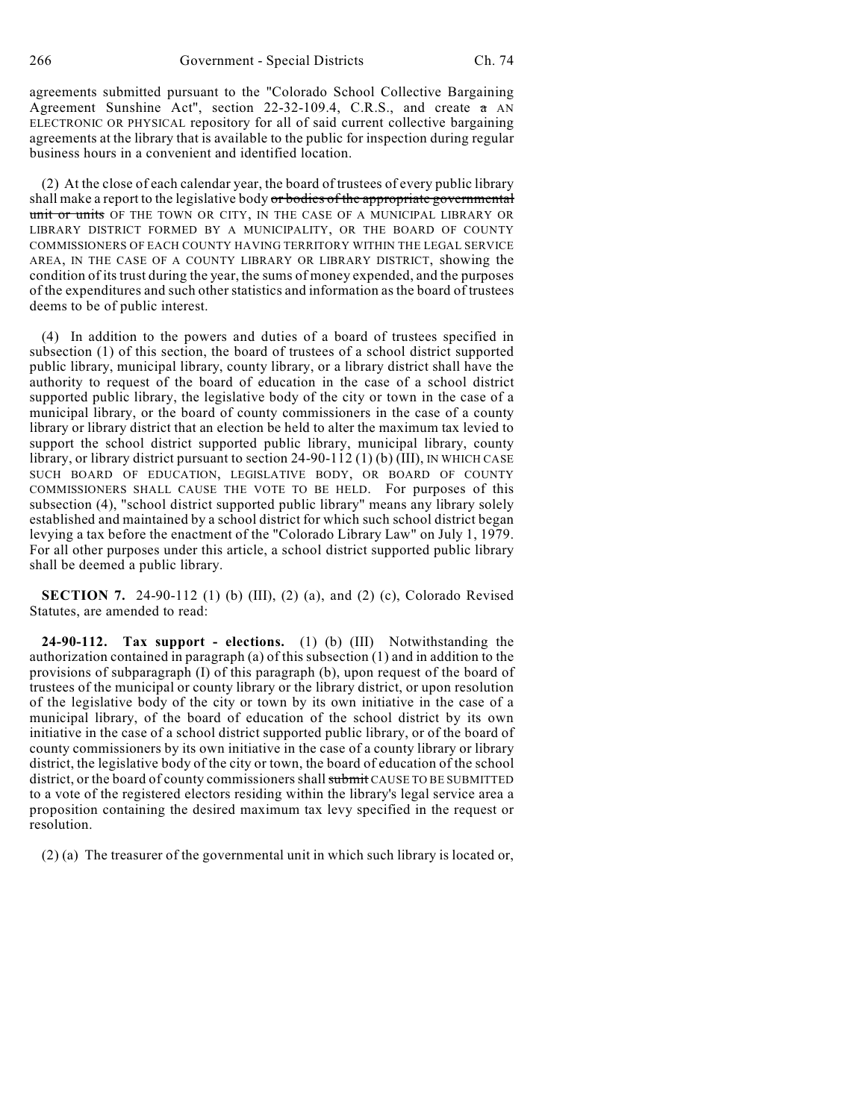agreements submitted pursuant to the "Colorado School Collective Bargaining Agreement Sunshine Act", section 22-32-109.4, C.R.S., and create a AN ELECTRONIC OR PHYSICAL repository for all of said current collective bargaining agreements at the library that is available to the public for inspection during regular business hours in a convenient and identified location.

(2) At the close of each calendar year, the board of trustees of every public library shall make a report to the legislative body or bodies of the appropriate governmental unit or units OF THE TOWN OR CITY, IN THE CASE OF A MUNICIPAL LIBRARY OR LIBRARY DISTRICT FORMED BY A MUNICIPALITY, OR THE BOARD OF COUNTY COMMISSIONERS OF EACH COUNTY HAVING TERRITORY WITHIN THE LEGAL SERVICE AREA, IN THE CASE OF A COUNTY LIBRARY OR LIBRARY DISTRICT, showing the condition of its trust during the year, the sums of money expended, and the purposes of the expenditures and such otherstatistics and information as the board of trustees deems to be of public interest.

(4) In addition to the powers and duties of a board of trustees specified in subsection (1) of this section, the board of trustees of a school district supported public library, municipal library, county library, or a library district shall have the authority to request of the board of education in the case of a school district supported public library, the legislative body of the city or town in the case of a municipal library, or the board of county commissioners in the case of a county library or library district that an election be held to alter the maximum tax levied to support the school district supported public library, municipal library, county library, or library district pursuant to section 24-90-112 (1) (b) (III), IN WHICH CASE SUCH BOARD OF EDUCATION, LEGISLATIVE BODY, OR BOARD OF COUNTY COMMISSIONERS SHALL CAUSE THE VOTE TO BE HELD. For purposes of this subsection (4), "school district supported public library" means any library solely established and maintained by a school district for which such school district began levying a tax before the enactment of the "Colorado Library Law" on July 1, 1979. For all other purposes under this article, a school district supported public library shall be deemed a public library.

**SECTION 7.** 24-90-112 (1) (b) (III), (2) (a), and (2) (c), Colorado Revised Statutes, are amended to read:

**24-90-112. Tax support - elections.** (1) (b) (III) Notwithstanding the authorization contained in paragraph (a) of this subsection (1) and in addition to the provisions of subparagraph (I) of this paragraph (b), upon request of the board of trustees of the municipal or county library or the library district, or upon resolution of the legislative body of the city or town by its own initiative in the case of a municipal library, of the board of education of the school district by its own initiative in the case of a school district supported public library, or of the board of county commissioners by its own initiative in the case of a county library or library district, the legislative body of the city or town, the board of education of the school district, or the board of county commissioners shall submit CAUSE TO BE SUBMITTED to a vote of the registered electors residing within the library's legal service area a proposition containing the desired maximum tax levy specified in the request or resolution.

(2) (a) The treasurer of the governmental unit in which such library is located or,